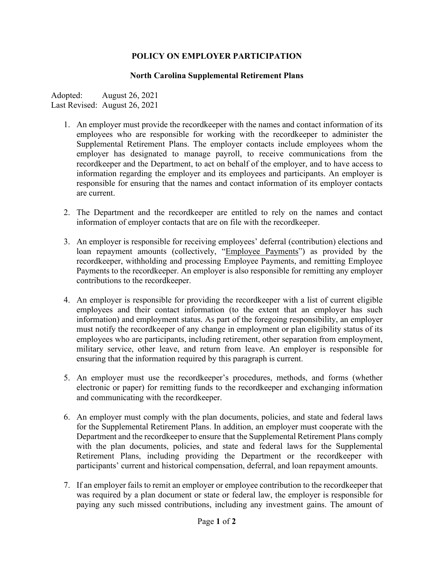## **POLICY ON EMPLOYER PARTICIPATION**

## **North Carolina Supplemental Retirement Plans**

Adopted: August 26, 2021 Last Revised: August 26, 2021

- 1. An employer must provide the recordkeeper with the names and contact information of its employees who are responsible for working with the recordkeeper to administer the Supplemental Retirement Plans. The employer contacts include employees whom the employer has designated to manage payroll, to receive communications from the recordkeeper and the Department, to act on behalf of the employer, and to have access to information regarding the employer and its employees and participants. An employer is responsible for ensuring that the names and contact information of its employer contacts are current.
- 2. The Department and the recordkeeper are entitled to rely on the names and contact information of employer contacts that are on file with the recordkeeper.
- 3. An employer is responsible for receiving employees' deferral (contribution) elections and loan repayment amounts (collectively, "Employee Payments") as provided by the recordkeeper, withholding and processing Employee Payments, and remitting Employee Payments to the recordkeeper. An employer is also responsible for remitting any employer contributions to the recordkeeper.
- 4. An employer is responsible for providing the recordkeeper with a list of current eligible employees and their contact information (to the extent that an employer has such information) and employment status. As part of the foregoing responsibility, an employer must notify the recordkeeper of any change in employment or plan eligibility status of its employees who are participants, including retirement, other separation from employment, military service, other leave, and return from leave. An employer is responsible for ensuring that the information required by this paragraph is current.
- 5. An employer must use the recordkeeper's procedures, methods, and forms (whether electronic or paper) for remitting funds to the recordkeeper and exchanging information and communicating with the recordkeeper.
- 6. An employer must comply with the plan documents, policies, and state and federal laws for the Supplemental Retirement Plans. In addition, an employer must cooperate with the Department and the recordkeeper to ensure that the Supplemental Retirement Plans comply with the plan documents, policies, and state and federal laws for the Supplemental Retirement Plans, including providing the Department or the recordkeeper with participants' current and historical compensation, deferral, and loan repayment amounts.
- 7. If an employer fails to remit an employer or employee contribution to the recordkeeper that was required by a plan document or state or federal law, the employer is responsible for paying any such missed contributions, including any investment gains. The amount of